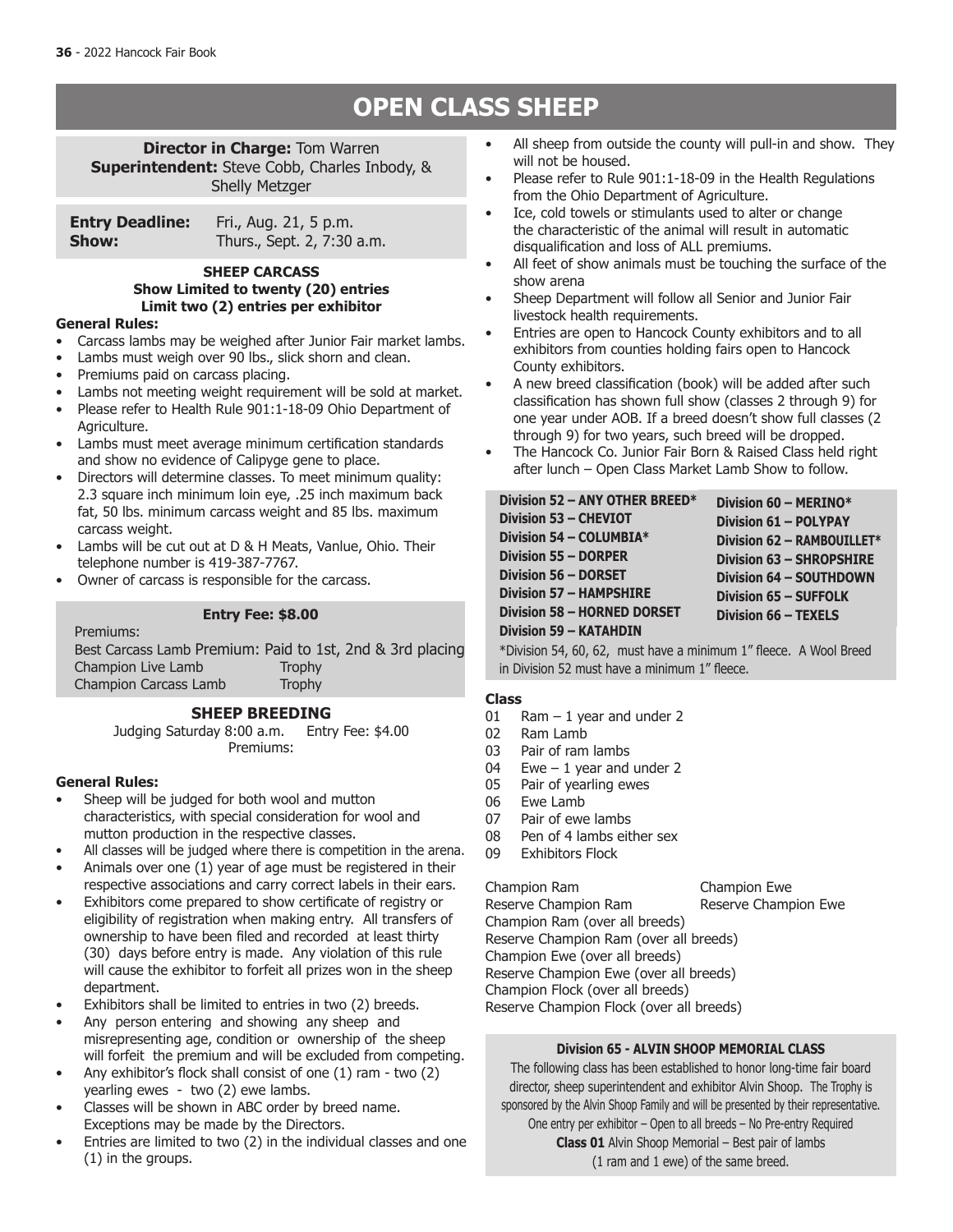# **OPEN CLASS SHEEP**

**Director in Charge: Tom Warren Superintendent:** Steve Cobb, Charles Inbody, & Shelly Metzger

| <b>Entry Deadline:</b> | Fri., Aug. 21, 5 p.m.      |
|------------------------|----------------------------|
| Show:                  | Thurs., Sept. 2, 7:30 a.m. |

### **SHEEP CARCASS Show Limited to twenty (20) entries Limit two (2) entries per exhibitor**

#### **General Rules:**

- Carcass lambs may be weighed after Junior Fair market lambs.
- Lambs must weigh over 90 lbs., slick shorn and clean.
- Premiums paid on carcass placing.
- Lambs not meeting weight requirement will be sold at market.
- Please refer to Health Rule 901:1-18-09 Ohio Department of Agriculture.
- Lambs must meet average minimum certification standards and show no evidence of Calipyge gene to place.
- Directors will determine classes. To meet minimum quality: 2.3 square inch minimum loin eye, .25 inch maximum back fat, 50 lbs. minimum carcass weight and 85 lbs. maximum carcass weight.
- Lambs will be cut out at D & H Meats, Vanlue, Ohio. Their telephone number is 419-387-7767.
- Owner of carcass is responsible for the carcass.

### **Entry Fee: \$8.00**

Premiums: Best Carcass Lamb Premium: Paid to 1st, 2nd & 3rd placing Champion Live Lamb Champion Carcass Lamb Trophy

### **SHEEP BREEDING**

Judging Saturday 8:00 a.m. Entry Fee: \$4.00 Premiums:

### **General Rules:**

- Sheep will be judged for both wool and mutton characteristics, with special consideration for wool and mutton production in the respective classes.
- All classes will be judged where there is competition in the arena.
- Animals over one  $(1)$  year of age must be registered in their respective associations and carry correct labels in their ears.
- Exhibitors come prepared to show certificate of registry or eligibility of registration when making entry. All transfers of ownership to have been filed and recorded at least thirty (30) days before entry is made. Any violation of this rule will cause the exhibitor to forfeit all prizes won in the sheep department.
- Exhibitors shall be limited to entries in two (2) breeds.
- Any person entering and showing any sheep and misrepresenting age, condition or ownership of the sheep will forfeit the premium and will be excluded from competing.
- Any exhibitor's flock shall consist of one  $(1)$  ram two  $(2)$ yearling ewes - two (2) ewe lambs.
- Classes will be shown in ABC order by breed name. Exceptions may be made by the Directors.
- Entries are limited to two (2) in the individual classes and one (1) in the groups.
- All sheep from outside the county will pull-in and show. They will not be housed.
- Please refer to Rule 901:1-18-09 in the Health Regulations from the Ohio Department of Agriculture.
- Ice, cold towels or stimulants used to alter or change the characteristic of the animal will result in automatic disqualification and loss of ALL premiums.
- All feet of show animals must be touching the surface of the show arena
- Sheep Department will follow all Senior and Junior Fair livestock health requirements.
- Entries are open to Hancock County exhibitors and to all exhibitors from counties holding fairs open to Hancock County exhibitors.
- A new breed classification (book) will be added after such classification has shown full show (classes 2 through 9) for one year under AOB. If a breed doesn't show full classes (2 through 9) for two years, such breed will be dropped.
- The Hancock Co. Junior Fair Born & Raised Class held right after lunch – Open Class Market Lamb Show to follow.

\*Division 54, 60, 62, must have a minimum 1" fleece. A Wool Breed in Division 52 must have a minimum 1" fleece.

# **Class**

- $Ram 1$  year and under 2
- 02 Ram Lamb
- 03 Pair of ram lambs<br>04 Ewe  $-1$  year and
- Ewe  $-1$  year and under 2
- 05 Pair of yearling ewes
- 06 Ewe Lamb<br>07 Pair of ewe
- Pair of ewe lambs
- 08 Pen of 4 lambs either sex
- 09 Exhibitors Flock

Champion Ram Champion Ewe

Reserve Champion Ram Reserve Champion Ewe Champion Ram (over all breeds) Reserve Champion Ram (over all breeds) Champion Ewe (over all breeds) Reserve Champion Ewe (over all breeds) Champion Flock (over all breeds) Reserve Champion Flock (over all breeds)

### **Division 65 - ALVIN SHOOP MEMORIAL CLASS**

The following class has been established to honor long-time fair board director, sheep superintendent and exhibitor Alvin Shoop. The Trophy is sponsored by the Alvin Shoop Family and will be presented by their representative. One entry per exhibitor – Open to all breeds – No Pre-entry Required **Class 01** Alvin Shoop Memorial – Best pair of lambs (1 ram and 1 ewe) of the same breed.